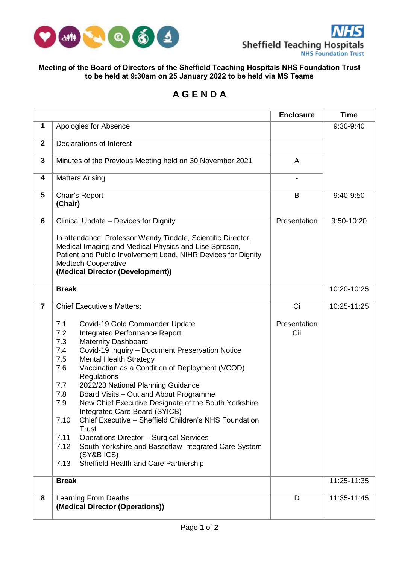

## **Meeting of the Board of Directors of the Sheffield Teaching Hospitals NHS Foundation Trust to be held at 9:30am on 25 January 2022 to be held via MS Teams**

## **A G E N D A**

|                |                                                                                                                                                                                                                                                                                                                                                                                                                                                                                                                                                                                                                                                                                                                                                                                                                   | <b>Enclosure</b>          | <b>Time</b> |
|----------------|-------------------------------------------------------------------------------------------------------------------------------------------------------------------------------------------------------------------------------------------------------------------------------------------------------------------------------------------------------------------------------------------------------------------------------------------------------------------------------------------------------------------------------------------------------------------------------------------------------------------------------------------------------------------------------------------------------------------------------------------------------------------------------------------------------------------|---------------------------|-------------|
| $\mathbf{1}$   | Apologies for Absence                                                                                                                                                                                                                                                                                                                                                                                                                                                                                                                                                                                                                                                                                                                                                                                             |                           | 9:30-9:40   |
| $\mathbf{2}$   | Declarations of Interest                                                                                                                                                                                                                                                                                                                                                                                                                                                                                                                                                                                                                                                                                                                                                                                          |                           |             |
| 3              | Minutes of the Previous Meeting held on 30 November 2021                                                                                                                                                                                                                                                                                                                                                                                                                                                                                                                                                                                                                                                                                                                                                          | A                         |             |
| 4              | <b>Matters Arising</b>                                                                                                                                                                                                                                                                                                                                                                                                                                                                                                                                                                                                                                                                                                                                                                                            |                           |             |
| 5              | Chair's Report<br>(Chair)                                                                                                                                                                                                                                                                                                                                                                                                                                                                                                                                                                                                                                                                                                                                                                                         | B                         | 9:40-9:50   |
| 6              | Clinical Update - Devices for Dignity<br>In attendance; Professor Wendy Tindale, Scientific Director,<br>Medical Imaging and Medical Physics and Lise Sproson,<br>Patient and Public Involvement Lead, NIHR Devices for Dignity<br><b>Medtech Cooperative</b><br>(Medical Director (Development))                                                                                                                                                                                                                                                                                                                                                                                                                                                                                                                 | Presentation              | 9:50-10:20  |
|                | <b>Break</b>                                                                                                                                                                                                                                                                                                                                                                                                                                                                                                                                                                                                                                                                                                                                                                                                      |                           | 10:20-10:25 |
| $\overline{7}$ | <b>Chief Executive's Matters:</b><br>7.1<br>Covid-19 Gold Commander Update<br>7.2<br><b>Integrated Performance Report</b><br><b>Maternity Dashboard</b><br>7.3<br>Covid-19 Inquiry - Document Preservation Notice<br>7.4<br>7.5<br><b>Mental Health Strategy</b><br>Vaccination as a Condition of Deployment (VCOD)<br>7.6<br>Regulations<br>2022/23 National Planning Guidance<br>7.7<br>Board Visits - Out and About Programme<br>7.8<br>New Chief Executive Designate of the South Yorkshire<br>7.9<br>Integrated Care Board (SYICB)<br>Chief Executive - Sheffield Children's NHS Foundation<br>7.10<br><b>Trust</b><br><b>Operations Director - Surgical Services</b><br>7.11<br>7.12<br>South Yorkshire and Bassetlaw Integrated Care System<br>(SY&B ICS)<br>Sheffield Health and Care Partnership<br>7.13 | Ci<br>Presentation<br>Cii | 10:25-11:25 |
|                | <b>Break</b>                                                                                                                                                                                                                                                                                                                                                                                                                                                                                                                                                                                                                                                                                                                                                                                                      |                           | 11:25-11:35 |
| 8              | Learning From Deaths<br>(Medical Director (Operations))                                                                                                                                                                                                                                                                                                                                                                                                                                                                                                                                                                                                                                                                                                                                                           | D                         | 11:35-11:45 |